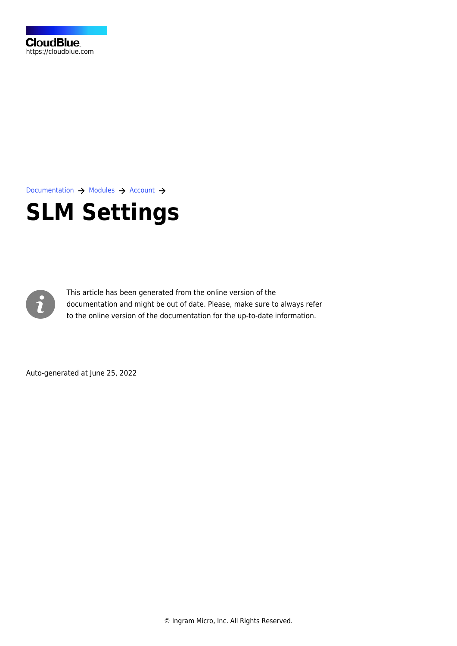

[Documentation](https://connect.cloudblue.com/documentation)  $\rightarrow$  [Modules](https://connect.cloudblue.com/community/modules/)  $\rightarrow$  [Account](https://connect.cloudblue.com/community/modules/account/)  $\rightarrow$ 

# **[SLM Settings](https://connect.cloudblue.com/community/modules/account/service-level-management-settings/)**



This article has been generated from the online version of the documentation and might be out of date. Please, make sure to always refer to the online version of the documentation for the up-to-date information.

Auto-generated at June 25, 2022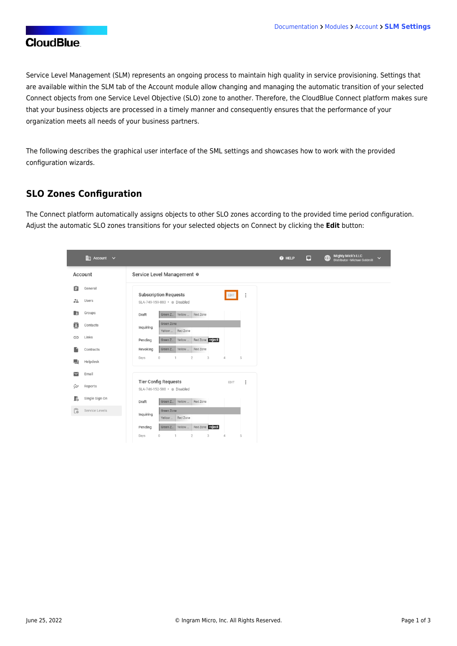## **CloudBlue**

Service Level Management (SLM) represents an ongoing process to maintain high quality in service provisioning. Settings that are available within the SLM tab of the Account module allow changing and managing the automatic transition of your selected Connect objects from one Service Level Objective (SLO) zone to another. Therefore, the CloudBlue Connect platform makes sure that your business objects are processed in a timely manner and consequently ensures that the performance of your organization meets all needs of your business partners.

The following describes the graphical user interface of the SML settings and showcases how to work with the provided configuration wizards.

#### **SLO Zones Configuration**

The Connect platform automatically assigns objects to other SLO zones according to the provided time period configuration. Adjust the automatic SLO zones transitions for your selected objects on Connect by clicking the **Edit** button:

| $\mathbb{H}$ Account $\vee$                              |                                                                                             | Mighty Mick's LLC<br>Distributor · Michael Goldmill<br>$\bigoplus$<br>$\Box$<br>@ HELP<br>$\checkmark$ |
|----------------------------------------------------------|---------------------------------------------------------------------------------------------|--------------------------------------------------------------------------------------------------------|
| Account                                                  | Service Level Management @                                                                  |                                                                                                        |
| 自<br>General                                             | <b>Subscription Requests</b><br>$\vdots$<br>EDIT                                            |                                                                                                        |
| $\frac{24}{100}$<br><b>Users</b>                         | SLA-749-159-883 · Disabled                                                                  |                                                                                                        |
| Groups<br>E                                              | Green Z <sub>-</sub> Yellow  Red Zone<br>Draft                                              |                                                                                                        |
| ē<br>Contacts                                            | Green Zone<br>Inquiring<br>Red Zone<br>Yellow                                               |                                                                                                        |
| Links<br>⊕                                               | Red Zone reject<br>Pending<br>Green Z.<br>Yellow                                            |                                                                                                        |
| Contracts                                                | Red Zone<br>Revoking<br>Green Z.<br>Yellow                                                  |                                                                                                        |
| ■<br>Helpdesk                                            | $\overline{2}$<br>$\mathfrak{Z}$<br>5<br>$\overline{0}$<br>$\Delta$<br>Days<br>$\mathbf{1}$ |                                                                                                        |
| Email                                                    |                                                                                             |                                                                                                        |
| ₩<br>Reports                                             | <b>Tier Config Requests</b><br>ŧ<br>EDIT<br>SLA-746-152-588 · Disabled                      |                                                                                                        |
| Single Sign On<br>Ŀ                                      | Green Z_   Yellow    Red Zone<br>Draft                                                      |                                                                                                        |
| $\begin{bmatrix} 0 \\ 0 \end{bmatrix}$<br>Service Levels | Green Zone<br>Inquiring<br>Red Zone<br>Yellow                                               |                                                                                                        |
|                                                          | Red Zone reject<br>Green Z_<br>Yellow<br>Pending                                            |                                                                                                        |
|                                                          | $\overline{2}$<br>3<br>4<br>5<br>Days<br>$\circ$                                            |                                                                                                        |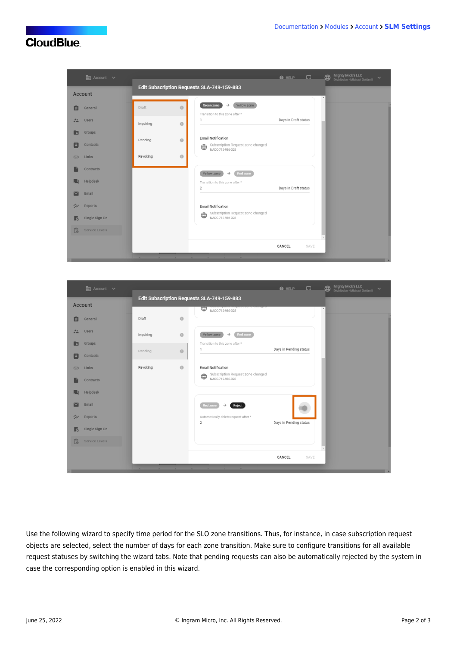### **CloudBlue**



|                | $\mathop{\mathrm{Im}}$ Account $\vee$ |           |         |                                                                | $\bigcirc$ HELP $\bigcirc$ |      | Mighty Mick's LLC<br>Distributor · Michael Goldmill<br>⊕<br>$\checkmark$ |  |
|----------------|---------------------------------------|-----------|---------|----------------------------------------------------------------|----------------------------|------|--------------------------------------------------------------------------|--|
|                | <b>Account</b>                        |           |         | Edit Subscription Requests SLA-749-159-883                     |                            |      |                                                                          |  |
|                |                                       |           |         | daear roue eum<br>₩<br>NACC-712-986-328                        |                            |      | $\blacktriangle$                                                         |  |
| Ė              | General                               | Draft     | $\odot$ |                                                                |                            |      |                                                                          |  |
| 22             | <b>Users</b>                          | Inquiring | $\circ$ | Yellow zone<br>Red zone<br>$\rightarrow$                       |                            |      |                                                                          |  |
| $\overline{z}$ | Groups                                |           |         | Transition to this zone after *<br>$\mathbf{1}$                | Days in Pending status     |      |                                                                          |  |
| E              | Contacts                              | Pending   | $\circ$ |                                                                |                            |      |                                                                          |  |
| $\bigoplus$    | Links                                 | Revoking  | $\circ$ | <b>Email Notification</b><br>Subscription Request zone changed |                            |      |                                                                          |  |
|                | Contracts                             |           |         | $\oplus$<br>NACC-712-986-328                                   |                            |      |                                                                          |  |
|                | Helpdesk                              |           |         |                                                                |                            |      |                                                                          |  |
|                | Email                                 |           |         | <b>Red zone</b><br>$\rightarrow$<br>Reject                     |                            |      |                                                                          |  |
| ジン             | Reports                               |           |         | Automatically delete request after *<br>$\overline{2}$         | Days in Pending status     |      |                                                                          |  |
| R              | Single Sign On                        |           |         |                                                                |                            |      |                                                                          |  |
| L <sub>®</sub> | <b>Service Levels</b>                 |           |         |                                                                |                            |      |                                                                          |  |
|                |                                       |           |         |                                                                | CANCEL                     | SAVE |                                                                          |  |
|                |                                       |           |         |                                                                |                            |      |                                                                          |  |

Use the following wizard to specify time period for the SLO zone transitions. Thus, for instance, in case subscription request objects are selected, select the number of days for each zone transition. Make sure to configure transitions for all available request statuses by switching the wizard tabs. Note that pending requests can also be automatically rejected by the system in case the corresponding option is enabled in this wizard.